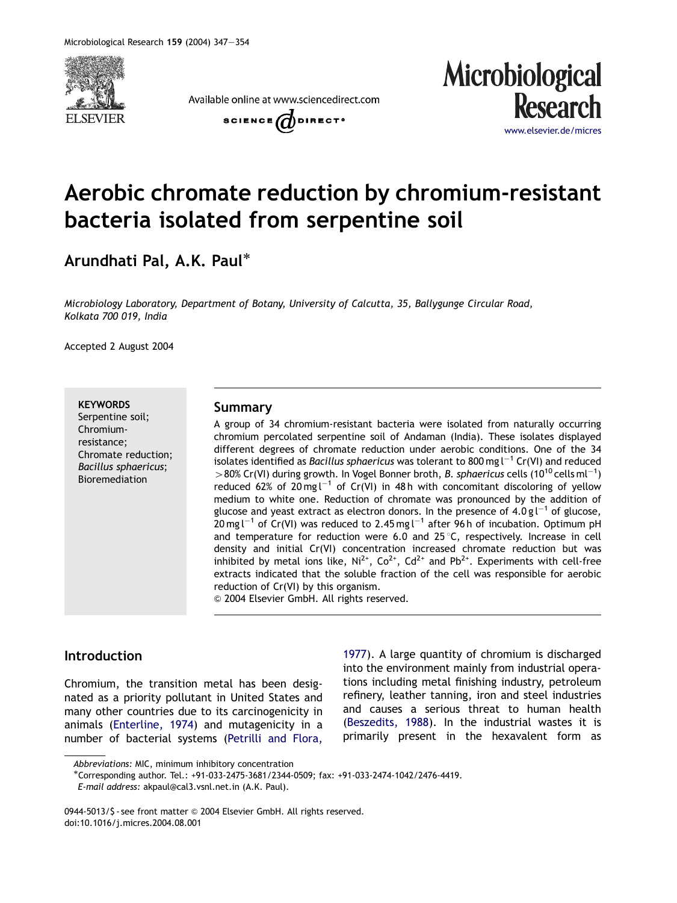

Available online at www.sciencedirect.com





# Aerobic chromate reduction by chromium-resistant bacteria isolated from serpentine soil

Arundhati Pal, A.K. Paul

*Microbiology Laboratory, Department of Botany, University of Calcutta, 35, Ballygunge Circular Road, Kolkata 700 019, India*

Accepted 2 August 2004

#### **KEYWORDS**

Serpentine soil; Chromiumresistance; Chromate reduction; *Bacillus sphaericus*; Bioremediation

#### Summary

A group of 34 chromium-resistant bacteria were isolated from naturally occurring chromium percolated serpentine soil of Andaman (India). These isolates displayed different degrees of chromate reduction under aerobic conditions. One of the 34 isolates identified as *Bacillus sphaericus* was tolerant to 800 mg l<sup>-1</sup> Cr(VI) and reduced >80% Cr(VI) during growth. In Vogel Bonner broth, *B. sphaericus* cells (10<sup>10</sup> cells ml<sup>-1</sup>) reduced 62% of 20 mg  $I^{-1}$  of Cr(VI) in 48 h with concomitant discoloring of yellow medium to white one. Reduction of chromate was pronounced by the addition of glucose and yeast extract as electron donors. In the presence of  $4.0$  g l<sup>-1</sup> of glucose,<br>20 mg l<sup>-1</sup> of Cr(VI) was reduced to 2.45 mg l<sup>-1</sup> after 96 h of incubation. Optimum pH and temperature for reduction were 6.0 and  $25^{\circ}$ C, respectively. Increase in cell density and initial Cr(VI) concentration increased chromate reduction but was inhibited by metal ions like,  $Ni^{2+}$ ,  $Co^{2+}$ ,  $Cd^{2+}$  and  $Pb^{2+}$ . Experiments with cell-free extracts indicated that the soluble fraction of the cell was responsible for aerobic reduction of Cr(VI) by this organism.

& 2004 Elsevier GmbH. All rights reserved.

## Introduction

Chromium, the transition metal has been designated as a priority pollutant in United States and many other countries due to its carcinogenicity in animals (Enterline, 1974) and mutagenicity in a number of bacterial systems (Petrilli and Flora, 1977). A large quantity of chromium is discharged into the environment mainly from industrial operations including metal finishing industry, petroleum refinery, leather tanning, iron and steel industries and causes a serious threat to human health (Beszedits, 1988). In the industrial wastes it is primarily present in the hexavalent form as

*Abbreviations:* MIC, minimum inhibitory concentration

Corresponding author. Tel.: +91-033-2475-3681/2344-0509; fax: +91-033-2474-1042/2476-4419.

*E-mail address:* akpaul@cal3.vsnl.net.in (A.K. Paul).

<sup>0944-5013/\$ -</sup> see front matter @ 2004 Elsevier GmbH. All rights reserved. doi:10.1016/j.micres.2004.08.001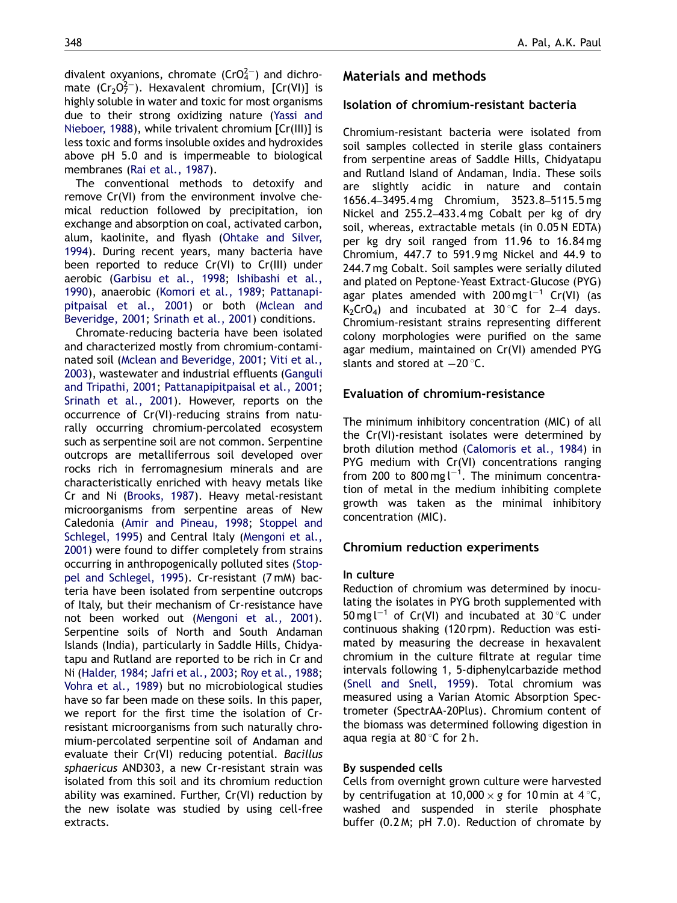divalent oxyanions, chromate (CrO $^{2-}_{4}$ ) and dichromate  $(Cr_2O_7^{2-})$ . Hexavalent chromium,  $[Cr(V)]$  is highly soluble in water and toxic for most organisms due to their strong oxidizing nature (Yassi and Nieboer, 1988), while trivalent chromium [Cr(III)] is less toxic and forms insoluble oxides and hydroxides above pH 5.0 and is impermeable to biological membranes (Rai et al., 1987).

The conventional methods to detoxify and remove Cr(VI) from the environment involve chemical reduction followed by precipitation, ion exchange and absorption on coal, activated carbon, alum, kaolinite, and flyash (Ohtake and Silver, 1994). During recent years, many bacteria have been reported to reduce Cr(VI) to Cr(III) under aerobic (Garbisu et al., 1998; Ishibashi et al., 1990), anaerobic (Komori et al., 1989; Pattanapipitpaisal et al., 2001) or both (Mclean and Beveridge, 2001; Srinath et al., 2001) conditions.

Chromate-reducing bacteria have been isolated and characterized mostly from chromium-contaminated soil (Mclean and Beveridge, 2001; Viti et al., 2003), wastewater and industrial effluents (Ganguli and Tripathi, 2001; Pattanapipitpaisal et al., 2001; Srinath et al., 2001). However, reports on the occurrence of Cr(VI)-reducing strains from naturally occurring chromium-percolated ecosystem such as serpentine soil are not common. Serpentine outcrops are metalliferrous soil developed over rocks rich in ferromagnesium minerals and are characteristically enriched with heavy metals like Cr and Ni (Brooks, 1987). Heavy metal-resistant microorganisms from serpentine areas of New Caledonia (Amir and Pineau, 1998; Stoppel and Schlegel, 1995) and Central Italy (Mengoni et al., 2001) were found to differ completely from strains occurring in anthropogenically polluted sites (Stoppel and Schlegel, 1995). Cr-resistant (7 mM) bacteria have been isolated from serpentine outcrops of Italy, but their mechanism of Cr-resistance have not been worked out (Mengoni et al., 2001). Serpentine soils of North and South Andaman Islands (India), particularly in Saddle Hills, Chidyatapu and Rutland are reported to be rich in Cr and Ni (Halder, 1984; Jafri et al., 2003; Roy et al., 1988; Vohra et al., 1989) but no microbiological studies have so far been made on these soils. In this paper, we report for the first time the isolation of Crresistant microorganisms from such naturally chromium-percolated serpentine soil of Andaman and evaluate their Cr(VI) reducing potential. *Bacillus sphaericus* AND303, a new Cr-resistant strain was isolated from this soil and its chromium reduction ability was examined. Further, Cr(VI) reduction by the new isolate was studied by using cell-free extracts.

# Materials and methods

## Isolation of chromium-resistant bacteria

Chromium-resistant bacteria were isolated from soil samples collected in sterile glass containers from serpentine areas of Saddle Hills, Chidyatapu and Rutland Island of Andaman, India. These soils are slightly acidic in nature and contain 1656.4–3495.4 mg Chromium, 3523.8–5115.5 mg Nickel and 255.2–433.4 mg Cobalt per kg of dry soil, whereas, extractable metals (in 0.05 N EDTA) per kg dry soil ranged from 11.96 to 16.84 mg Chromium, 447.7 to 591.9 mg Nickel and 44.9 to 244.7 mg Cobalt. Soil samples were serially diluted and plated on Peptone-Yeast Extract-Glucose (PYG) agar plates amended with 200 mg  $l^{-1}$  Cr(VI) (as  $K<sub>2</sub>CrO<sub>4</sub>$  and incubated at 30 °C for 2–4 days. Chromium-resistant strains representing different colony morphologies were purified on the same agar medium, maintained on Cr(VI) amended PYG slants and stored at  $-20$  °C.

# Evaluation of chromium-resistance

The minimum inhibitory concentration (MIC) of all the Cr(VI)-resistant isolates were determined by broth dilution method (Calomoris et al., 1984) in PYG medium with Cr(VI) concentrations ranging from 200 to 800 mg  $l^{-1}$ . The minimum concentration of metal in the medium inhibiting complete growth was taken as the minimal inhibitory concentration (MIC).

## Chromium reduction experiments

## In culture

Reduction of chromium was determined by inoculating the isolates in PYG broth supplemented with  $50 \text{ mg l}^{-1}$  of Cr(VI) and incubated at  $30^{\circ}$ C under continuous shaking (120 rpm). Reduction was estimated by measuring the decrease in hexavalent chromium in the culture filtrate at regular time intervals following 1, 5-diphenylcarbazide method (Snell and Snell, 1959). Total chromium was measured using a Varian Atomic Absorption Spectrometer (SpectrAA-20Plus). Chromium content of the biomass was determined following digestion in aqua regia at  $80^{\circ}$ C for 2 h.

## By suspended cells

Cells from overnight grown culture were harvested by centrifugation at  $10,000 \times g$  for 10 min at 4 °C, washed and suspended in sterile phosphate buffer (0.2 M; pH 7.0). Reduction of chromate by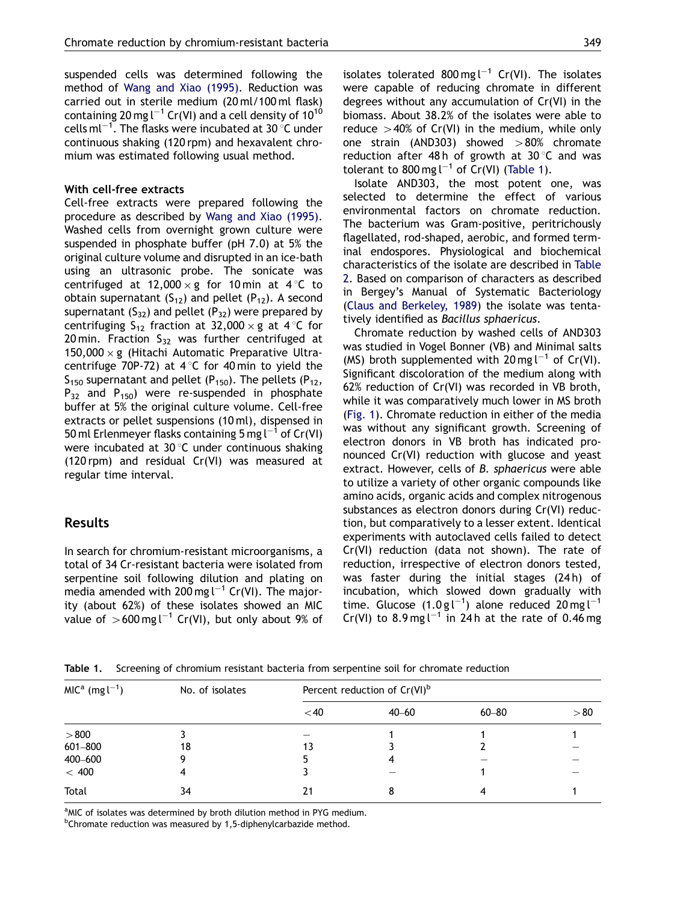suspended cells was determined following the method of Wang and Xiao (1995). Reduction was carried out in sterile medium (20 ml/100 ml flask) containing 20 mg l $^{-1}$  Cr(VI) and a cell density of 10 $^{10}$ cells  $ml^{-1}$ . The flasks were incubated at 30  $^{\circ}$ C under continuous shaking (120 rpm) and hexavalent chromium was estimated following usual method.

#### With cell-free extracts

Cell-free extracts were prepared following the procedure as described by Wang and Xiao (1995). Washed cells from overnight grown culture were suspended in phosphate buffer (pH 7.0) at 5% the original culture volume and disrupted in an ice-bath using an ultrasonic probe. The sonicate was centrifuged at  $12,000 \times g$  for 10 min at 4 °C to obtain supernatant  $(S_{12})$  and pellet  $(P_{12})$ . A second supernatant  $(S_{32})$  and pellet  $(P_{32})$  were prepared by centrifuging  $S_{12}$  fraction at 32,000  $\times$  g at 4 °C for 20 min. Fraction  $S_{32}$  was further centrifuged at  $150,000 \times g$  (Hitachi Automatic Preparative Ultracentrifuge 70P-72) at  $4^{\circ}$ C for 40 min to yield the  $S<sub>150</sub>$  supernatant and pellet (P<sub>150</sub>). The pellets (P<sub>12</sub>,  $P_{32}$  and  $P_{150}$ ) were re-suspended in phosphate buffer at 5% the original culture volume. Cell-free extracts or pellet suspensions (10 ml), dispensed in  $\frac{1}{2}$  online to provide the process (compared by  $1^{-1}$  of Cr(VI) were incubated at  $30^{\circ}$ C under continuous shaking (120 rpm) and residual Cr(VI) was measured at regular time interval.

## Results

In search for chromium-resistant microorganisms, a total of 34 Cr-resistant bacteria were isolated from serpentine soil following dilution and plating on media amended with  $200 \text{ mg l}^{-1}$  Cr(VI). The majority (about 62%) of these isolates showed an MIC value of  $>600 \text{ mg l}^{-1}$  Cr(VI), but only about 9% of

Isolate AND303, the most potent one, was selected to determine the effect of various environmental factors on chromate reduction. The bacterium was Gram-positive, peritrichously flagellated, rod-shaped, aerobic, and formed terminal endospores. Physiological and biochemical characteristics of the isolate are described in Table 2. Based on comparison of characters as described in Bergey's Manual of Systematic Bacteriology (Claus and Berkeley, 1989) the isolate was tentatively identified as *Bacillus sphaericus*.

Chromate reduction by washed cells of AND303 was studied in Vogel Bonner (VB) and Minimal salts (MS) broth supplemented with  $20 \text{ mg } l^{-1}$  of Cr(VI). Significant discoloration of the medium along with 62% reduction of Cr(VI) was recorded in VB broth, while it was comparatively much lower in MS broth (Fig. 1). Chromate reduction in either of the media was without any significant growth. Screening of electron donors in VB broth has indicated pronounced Cr(VI) reduction with glucose and yeast extract. However, cells of *B. sphaericus* were able to utilize a variety of other organic compounds like amino acids, organic acids and complex nitrogenous substances as electron donors during Cr(VI) reduction, but comparatively to a lesser extent. Identical experiments with autoclaved cells failed to detect Cr(VI) reduction (data not shown). The rate of reduction, irrespective of electron donors tested, was faster during the initial stages (24h) of incubation, which slowed down gradually with time. Glucose  $(1.0 \text{ g l}^{-1})$  alone reduced 20 mg l<sup>-1</sup> Cr(VI) to  $8.9 \text{ mg}$ l<sup>-1</sup> in 24h at the rate of 0.46 mg

Table 1. Screening of chromium resistant bacteria from serpentine soil for chromate reduction

| $MICa (mg l^{-1})$ | No. of isolates | Percent reduction of $Cr(VI)^b$ |           |           |      |  |
|--------------------|-----------------|---------------------------------|-----------|-----------|------|--|
|                    |                 | $<$ 40                          | $40 - 60$ | $60 - 80$ | > 80 |  |
| > 800              |                 |                                 |           |           |      |  |
| 601-800            | 18              | 13                              |           |           |      |  |
| 400-600            | 9               |                                 |           |           |      |  |
| $< 400$            | 4               |                                 |           |           |      |  |
| Total              | 34              | 21                              |           |           |      |  |

<sup>a</sup>MIC of isolates was determined by broth dilution method in PYG medium.

<sup>b</sup>Chromate reduction was measured by 1,5-diphenylcarbazide method.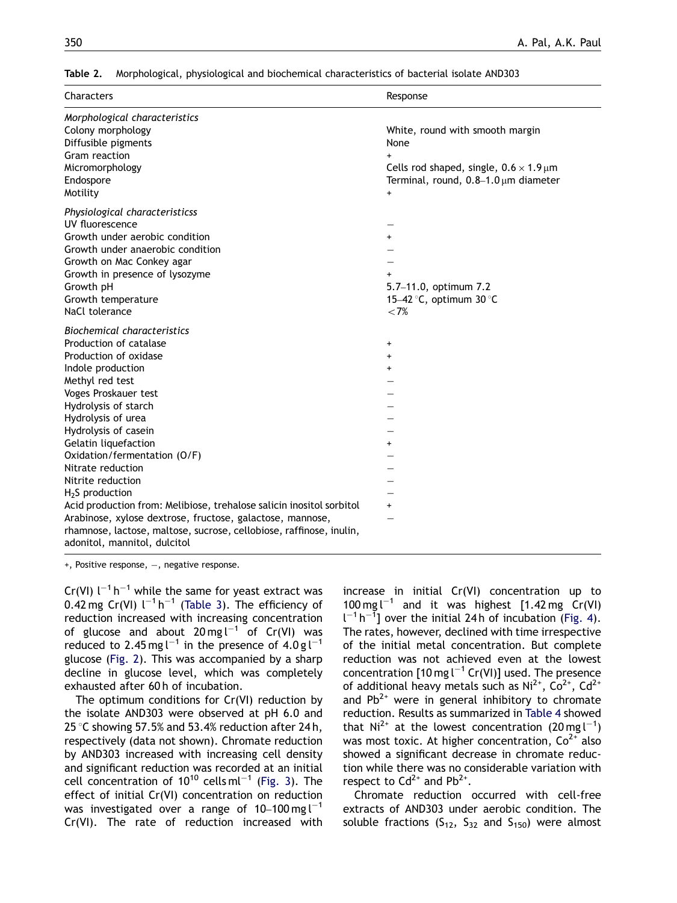| Table 2. |  | Morphological, physiological and biochemical characteristics of bacterial isolate AND303 |  |  |
|----------|--|------------------------------------------------------------------------------------------|--|--|
|          |  |                                                                                          |  |  |

| Characters                                                                                                                                                                                                                                                                                                                                                                                                                                                                                                                                                                                    | Response                                                                                                                                                                            |
|-----------------------------------------------------------------------------------------------------------------------------------------------------------------------------------------------------------------------------------------------------------------------------------------------------------------------------------------------------------------------------------------------------------------------------------------------------------------------------------------------------------------------------------------------------------------------------------------------|-------------------------------------------------------------------------------------------------------------------------------------------------------------------------------------|
| Morphological characteristics<br>Colony morphology<br>Diffusible pigments<br>Gram reaction<br>Micromorphology<br>Endospore<br>Motility                                                                                                                                                                                                                                                                                                                                                                                                                                                        | White, round with smooth margin<br>None<br>$+$<br>Cells rod shaped, single, $0.6 \times 1.9 \,\text{\ensuremath{\mu}m}$<br>Terminal, round, $0.8-1.0 \,\mu m$ diameter<br>$\ddot{}$ |
| Physiological characteristicss<br>UV fluorescence<br>Growth under aerobic condition<br>Growth under anaerobic condition<br>Growth on Mac Conkey agar<br>Growth in presence of lysozyme<br>Growth pH<br>Growth temperature<br>NaCl tolerance                                                                                                                                                                                                                                                                                                                                                   | $\ddot{}$<br>5.7-11.0, optimum 7.2<br>15-42 °C, optimum 30 °C<br>${<}7%$                                                                                                            |
| <b>Biochemical characteristics</b><br>Production of catalase<br>Production of oxidase<br>Indole production<br>Methyl red test<br>Voges Proskauer test<br>Hydrolysis of starch<br>Hydrolysis of urea<br>Hydrolysis of casein<br>Gelatin liquefaction<br>Oxidation/fermentation (O/F)<br>Nitrate reduction<br>Nitrite reduction<br>$H2S$ production<br>Acid production from: Melibiose, trehalose salicin inositol sorbitol<br>Arabinose, xylose dextrose, fructose, galactose, mannose,<br>rhamnose, lactose, maltose, sucrose, cellobiose, raffinose, inulin,<br>adonitol, mannitol, dulcitol | $\ddot{}$<br>$\ddot{}$<br>$\ddot{}$<br>$\ddot{}$<br>$\ddot{}$                                                                                                                       |

 $+$ , Positive response,  $-$ , negative response.

 $Cr(VI)$   $I^{-1}$  h<sup>-1</sup> while the same for yeast extract was 0.42 mg Cr(VI)  $l^{-1}h^{-1}$  (Table 3). The efficiency of reduction increased with increasing concentration of glucose and about  $20 \text{ mg l}^{-1}$  of Cr(VI) was reduced to  $2.45 \text{ mg}^{-1}$  in the presence of  $4.0 \text{ g}^{-1}$ glucose (Fig. 2). This was accompanied by a sharp decline in glucose level, which was completely exhausted after 60 h of incubation.

The optimum conditions for Cr(VI) reduction by the isolate AND303 were observed at pH 6.0 and 25 °C showing 57.5% and 53.4% reduction after 24 h, respectively (data not shown). Chromate reduction by AND303 increased with increasing cell density and significant reduction was recorded at an initial cell concentration of  $10^{10}$  cells ml<sup>-1</sup> (Fig. 3). The effect of initial Cr(VI) concentration on reduction was investigated over a range of  $10-100$  mg  $l^{-1}$ Cr(VI). The rate of reduction increased with increase in initial Cr(VI) concentration up to  $100 \text{ mg l}^{-1}$  and it was highest [1.42 mg Cr(VI)  $l^{-1}h^{-1}$  over the initial 24h of incubation (Fig. 4). The rates, however, declined with time irrespective of the initial metal concentration. But complete reduction was not achieved even at the lowest concentration  $[10 \text{ mg } l^{-1}$  Cr(VI)] used. The presence of additional heavy metals such as  $Ni^{2+}$ ,  $Co^{2+}$ ,  $Cd^{2+}$ and  $Pb^{2+}$  were in general inhibitory to chromate reduction. Results as summarized in Table 4 showed that  $Ni^{2+}$  at the lowest concentration (20 mg  $l^{-1}$ ) was most toxic. At higher concentration,  $Co<sup>2+</sup>$  also showed a significant decrease in chromate reduction while there was no considerable variation with respect to  $Cd^{2+}$  and  $Pb^{2+}$ .

Chromate reduction occurred with cell-free extracts of AND303 under aerobic condition. The soluble fractions  $(S_{12}, S_{32}$  and  $S_{150})$  were almost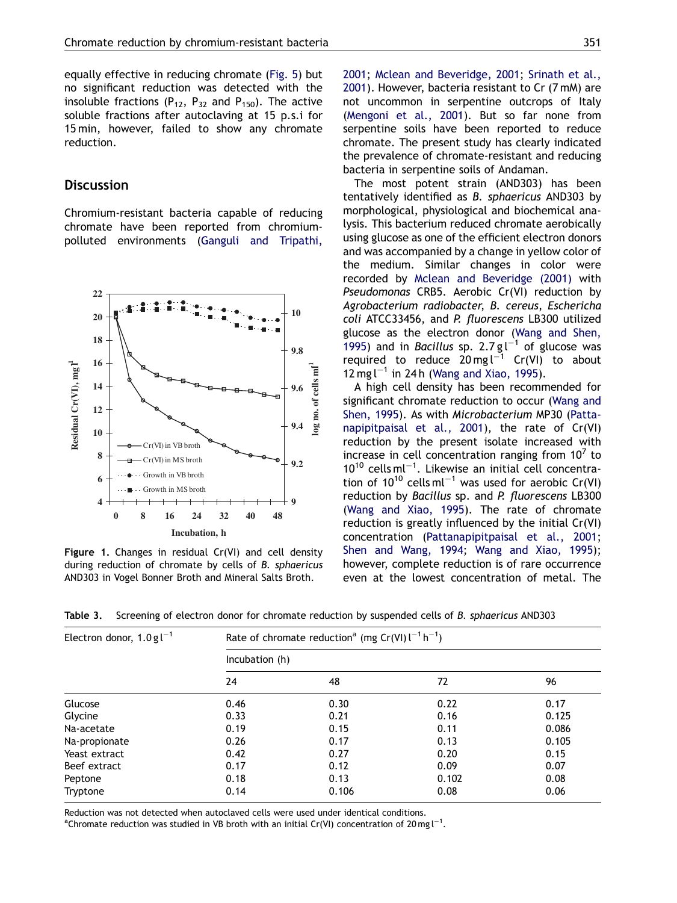equally effective in reducing chromate (Fig. 5) but no significant reduction was detected with the insoluble fractions  $(P_{12}, P_{32}$  and  $P_{150})$ . The active soluble fractions after autoclaving at 15 p.s.i for 15 min, however, failed to show any chromate reduction.

## **Discussion**

Chromium-resistant bacteria capable of reducing chromate have been reported from chromiumpolluted environments (Ganguli and Tripathi,



Figure 1. Changes in residual Cr(VI) and cell density during reduction of chromate by cells of *B. sphaericus* AND303 in Vogel Bonner Broth and Mineral Salts Broth.

not uncommon in serpentine outcrops of Italy (Mengoni et al., 2001). But so far none from serpentine soils have been reported to reduce chromate. The present study has clearly indicated the prevalence of chromate-resistant and reducing bacteria in serpentine soils of Andaman.

The most potent strain (AND303) has been tentatively identified as *B. sphaericus* AND303 by morphological, physiological and biochemical analysis. This bacterium reduced chromate aerobically using glucose as one of the efficient electron donors and was accompanied by a change in yellow color of the medium. Similar changes in color were recorded by Mclean and Beveridge (2001) with *Pseudomonas* CRB5. Aerobic Cr(VI) reduction by *Agrobacterium radiobacter*, *B. cereus*, *Eschericha coli* ATCC33456, and *P. fluorescens* LB300 utilized glucose as the electron donor (Wang and Shen, 1995) and in *Bacillus* sp. 2.7  $g l^{-1}$  of glucose was required to reduce  $20 \text{ mg l}^{-1}$  Cr(VI) to about  $12 \text{ mg}$  l<sup>-1</sup> in 24 h (Wang and Xiao, 1995).

A high cell density has been recommended for significant chromate reduction to occur (Wang and Shen, 1995). As with *Microbacterium* MP30 (Pattanapipitpaisal et al., 2001), the rate of Cr(VI) reduction by the present isolate increased with increase in cell concentration ranging from  $10^7$  to  $10^{10}$  cells ml<sup>-1</sup>. Likewise an initial cell concentration of  $10^{10}$  cells ml<sup>-1</sup> was used for aerobic Cr(VI) reduction by *Bacillus* sp. and *P. fluorescens* LB300 (Wang and Xiao, 1995). The rate of chromate reduction is greatly influenced by the initial Cr(VI) concentration (Pattanapipitpaisal et al., 2001; Shen and Wang, 1994; Wang and Xiao, 1995); however, complete reduction is of rare occurrence even at the lowest concentration of metal. The

Table 3. Screening of electron donor for chromate reduction by suspended cells of *B. sphaericus* AND303

| Electron donor, $1.0 g^{-1}$ | Rate of chromate reduction <sup>a</sup> (mg Cr(VI) $l^{-1}h^{-1}$ )<br>Incubation (h) |       |       |       |  |
|------------------------------|---------------------------------------------------------------------------------------|-------|-------|-------|--|
|                              |                                                                                       |       |       |       |  |
|                              | 24                                                                                    | 48    | 72    | 96    |  |
| Glucose                      | 0.46                                                                                  | 0.30  | 0.22  | 0.17  |  |
| Glycine                      | 0.33                                                                                  | 0.21  | 0.16  | 0.125 |  |
| Na-acetate                   | 0.19                                                                                  | 0.15  | 0.11  | 0.086 |  |
| Na-propionate                | 0.26                                                                                  | 0.17  | 0.13  | 0.105 |  |
| Yeast extract                | 0.42                                                                                  | 0.27  | 0.20  | 0.15  |  |
| Beef extract                 | 0.17                                                                                  | 0.12  | 0.09  | 0.07  |  |
| Peptone                      | 0.18                                                                                  | 0.13  | 0.102 | 0.08  |  |
| Tryptone                     | 0.14                                                                                  | 0.106 | 0.08  | 0.06  |  |

Reduction was not detected when autoclaved cells were used under identical conditions.

<sup>a</sup>Chromate reduction was studied in VB broth with an initial Cr(VI) concentration of 20 mg l<sup>-1</sup>.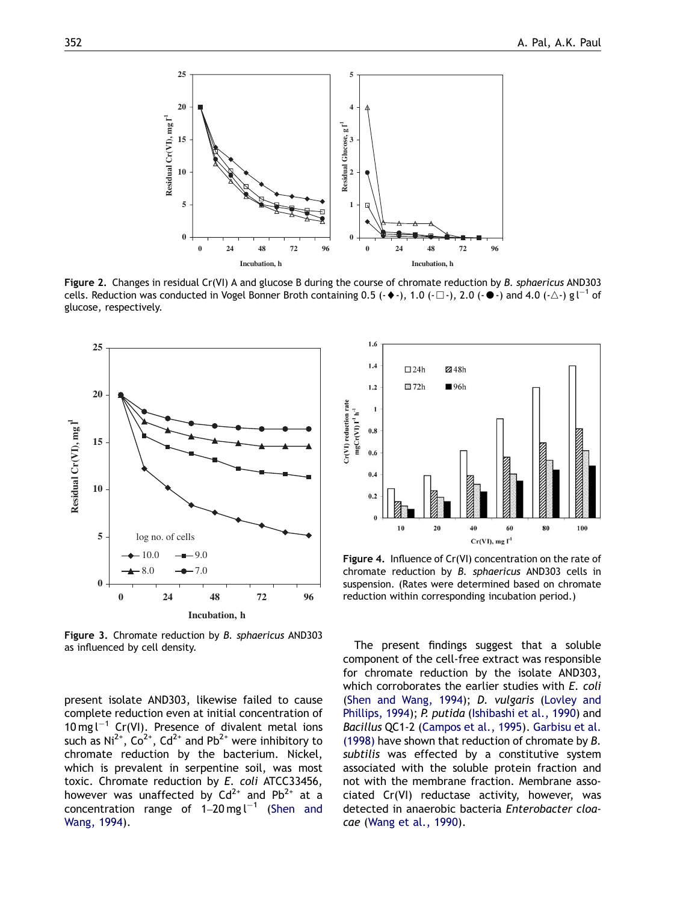

Figure 2. Changes in residual Cr(VI) A and glucose B during the course of chromate reduction by *B. sphaericus* AND303 cells. Reduction was conducted in Vogel Bonner Broth containing 0.5 ( $\leftrightarrow$ -), 1.0 ( $\Box$ -), 2.0 ( $\bullet$ -) and 4.0 ( $\triangle$ -) g l<sup>-1</sup> of glucose, respectively.



Figure 3. Chromate reduction by *B. sphaericus* AND303 as influenced by cell density.

present isolate AND303, likewise failed to cause complete reduction even at initial concentration of 10 mg  $l^{-1}$  Cr(VI). Presence of divalent metal ions such as  $Ni^{2+}$ ,  $Co^{2+}$ ,  $Cd^{2+}$  and  $Pb^{2+}$  were inhibitory to chromate reduction by the bacterium. Nickel, which is prevalent in serpentine soil, was most toxic. Chromate reduction by *E. coli* ATCC33456, however was unaffected by  $Cd^{2+}$  and Pb<sup>2+</sup> at a concentration range of  $1-20$  mg l<sup>-1</sup> (Shen and Wang, 1994).



Figure 4. Influence of Cr(VI) concentration on the rate of chromate reduction by *B. sphaericus* AND303 cells in suspension. (Rates were determined based on chromate reduction within corresponding incubation period.)

The present findings suggest that a soluble component of the cell-free extract was responsible for chromate reduction by the isolate AND303, which corroborates the earlier studies with *E. coli* (Shen and Wang, 1994); *D. vulgaris* (Lovley and Phillips, 1994); *P. putida* (Ishibashi et al., 1990) and *Bacillus* QC1-2 (Campos et al., 1995). Garbisu et al. (1998) have shown that reduction of chromate by *B. subtilis* was effected by a constitutive system associated with the soluble protein fraction and not with the membrane fraction. Membrane associated Cr(VI) reductase activity, however, was detected in anaerobic bacteria *Enterobacter cloacae* (Wang et al., 1990).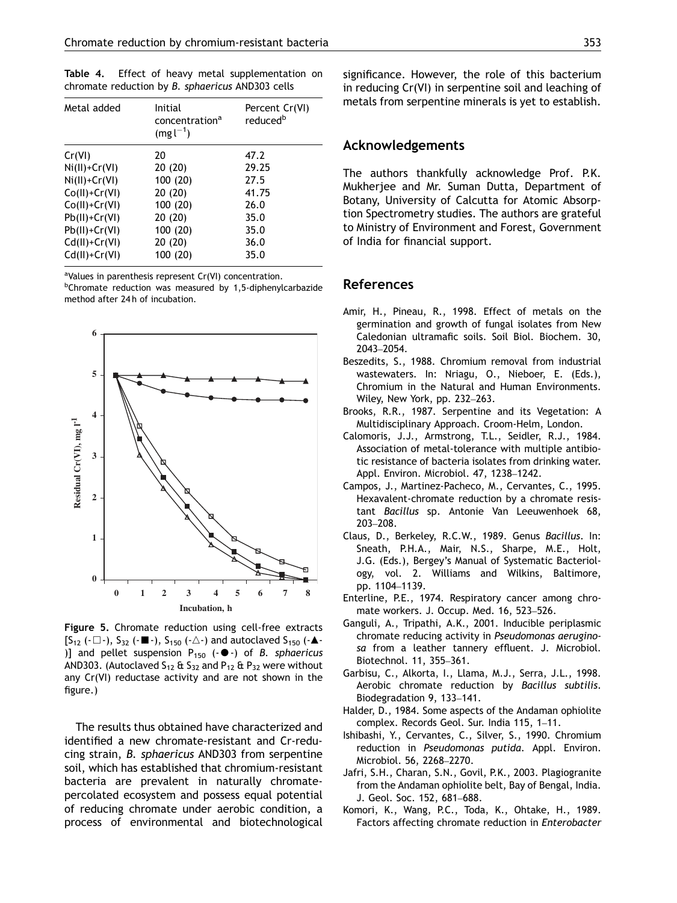Table 4. Effect of heavy metal supplementation on chromate reduction by *B. sphaericus* AND303 cells

| Metal added     | Initial<br>concentration <sup>a</sup><br>$(mg l^{-1})$ | Percent Cr(VI)<br>reduced <sup>b</sup> |
|-----------------|--------------------------------------------------------|----------------------------------------|
| Cr(VI)          | 20                                                     | 47.2                                   |
| $Ni(II)+Cr(VI)$ | 20 (20)                                                | 29.25                                  |
| $Ni(II)+Cr(VI)$ | 100(20)                                                | 27.5                                   |
| $Co(II)+Cr(VI)$ | 20 (20)                                                | 41.75                                  |
| $Co(II)+Cr(VI)$ | 100(20)                                                | 26.0                                   |
| $Pb(II)+Cr(VI)$ | 20 (20)                                                | 35.0                                   |
| $Pb(II)+Cr(VI)$ | 100(20)                                                | 35.0                                   |
| $Cd(II)+Cr(VI)$ | 20 (20)                                                | 36.0                                   |
| $Cd(II)+Cr(VI)$ | 100 (20)                                               | 35.0                                   |

<sup>a</sup>Values in parenthesis represent Cr(VI) concentration.

<sup>b</sup>Chromate reduction was measured by 1,5-diphenylcarbazide method after 24 h of incubation.



Figure 5. Chromate reduction using cell-free extracts  $[S_{12} (\cdot \Box \cdot), S_{32} (\cdot \Box \cdot), S_{150} (\cdot \triangle \cdot)$  and autoclaved  $S_{150} (\cdot \triangle \cdot)$ )] and pellet suspension P<sub>150</sub> (-●-) of *B. sphaericus* AND303. (Autoclaved  $S_{12}$  &  $S_{32}$  and  $P_{12}$  &  $P_{32}$  were without any Cr(VI) reductase activity and are not shown in the figure.)

The results thus obtained have characterized and identified a new chromate-resistant and Cr-reducing strain, *B. sphaericus* AND303 from serpentine soil, which has established that chromium-resistant bacteria are prevalent in naturally chromatepercolated ecosystem and possess equal potential of reducing chromate under aerobic condition, a process of environmental and biotechnological significance. However, the role of this bacterium in reducing Cr(VI) in serpentine soil and leaching of metals from serpentine minerals is yet to establish.

## Acknowledgements

The authors thankfully acknowledge Prof. P.K. Mukherjee and Mr. Suman Dutta, Department of Botany, University of Calcutta for Atomic Absorption Spectrometry studies. The authors are grateful to Ministry of Environment and Forest, Government of India for financial support.

#### References

- Amir, H., Pineau, R., 1998. Effect of metals on the germination and growth of fungal isolates from New Caledonian ultramafic soils. Soil Biol. Biochem. 30, 2043–2054.
- Beszedits, S., 1988. Chromium removal from industrial wastewaters. In: Nriagu, O., Nieboer, E. (Eds.), Chromium in the Natural and Human Environments. Wiley, New York, pp. 232–263.
- Brooks, R.R., 1987. Serpentine and its Vegetation: A Multidisciplinary Approach. Croom-Helm, London.
- Calomoris, J.J., Armstrong, T.L., Seidler, R.J., 1984. Association of metal-tolerance with multiple antibiotic resistance of bacteria isolates from drinking water. Appl. Environ. Microbiol. 47, 1238–1242.
- Campos, J., Martinez-Pacheco, M., Cervantes, C., 1995. Hexavalent-chromate reduction by a chromate resistant *Bacillus* sp. Antonie Van Leeuwenhoek 68, 203–208.
- Claus, D., Berkeley, R.C.W., 1989. Genus *Bacillus*. In: Sneath, P.H.A., Mair, N.S., Sharpe, M.E., Holt, J.G. (Eds.), Bergey's Manual of Systematic Bacteriology, vol. 2. Williams and Wilkins, Baltimore, pp. 1104–1139.
- Enterline, P.E., 1974. Respiratory cancer among chromate workers. J. Occup. Med. 16, 523–526.
- Ganguli, A., Tripathi, A.K., 2001. Inducible periplasmic chromate reducing activity in *Pseudomonas aeruginosa* from a leather tannery effluent. J. Microbiol. Biotechnol. 11, 355–361.
- Garbisu, C., Alkorta, I., Llama, M.J., Serra, J.L., 1998. Aerobic chromate reduction by *Bacillus subtilis*. Biodegradation 9, 133–141.
- Halder, D., 1984. Some aspects of the Andaman ophiolite complex. Records Geol. Sur. India 115, 1–11.
- Ishibashi, Y., Cervantes, C., Silver, S., 1990. Chromium reduction in *Pseudomonas putida*. Appl. Environ. Microbiol. 56, 2268–2270.
- Jafri, S.H., Charan, S.N., Govil, P.K., 2003. Plagiogranite from the Andaman ophiolite belt, Bay of Bengal, India. J. Geol. Soc. 152, 681–688.
- Komori, K., Wang, P.C., Toda, K., Ohtake, H., 1989. Factors affecting chromate reduction in *Enterobacter*